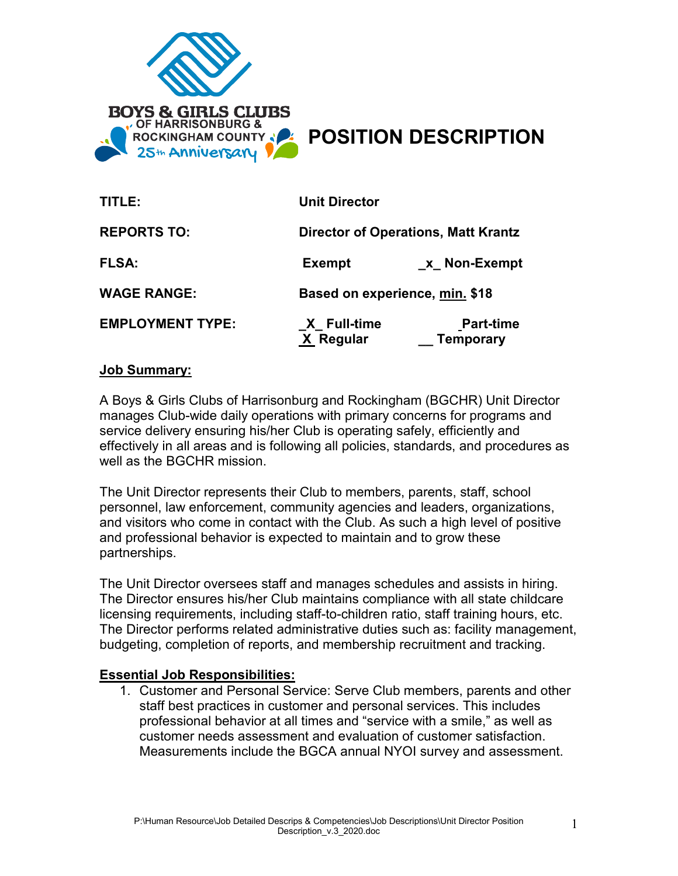

# ROCKINGHAM COUNTY & **POSITION DESCRIPTION**

| TITLE:                  | <b>Unit Director</b>                       |                                      |
|-------------------------|--------------------------------------------|--------------------------------------|
| <b>REPORTS TO:</b>      | <b>Director of Operations, Matt Krantz</b> |                                      |
| <b>FLSA:</b>            | <b>Exempt</b>                              | x Non-Exempt                         |
| <b>WAGE RANGE:</b>      | Based on experience, min. \$18             |                                      |
| <b>EMPLOYMENT TYPE:</b> | X Full-time<br>X Regular                   | <b>Part-time</b><br><b>Temporary</b> |

## **Job Summary:**

A Boys & Girls Clubs of Harrisonburg and Rockingham (BGCHR) Unit Director manages Club-wide daily operations with primary concerns for programs and service delivery ensuring his/her Club is operating safely, efficiently and effectively in all areas and is following all policies, standards, and procedures as well as the BGCHR mission.

The Unit Director represents their Club to members, parents, staff, school personnel, law enforcement, community agencies and leaders, organizations, and visitors who come in contact with the Club. As such a high level of positive and professional behavior is expected to maintain and to grow these partnerships.

The Unit Director oversees staff and manages schedules and assists in hiring. The Director ensures his/her Club maintains compliance with all state childcare licensing requirements, including staff-to-children ratio, staff training hours, etc. The Director performs related administrative duties such as: facility management, budgeting, completion of reports, and membership recruitment and tracking.

## **Essential Job Responsibilities:**

1. Customer and Personal Service: Serve Club members, parents and other staff best practices in customer and personal services. This includes professional behavior at all times and "service with a smile," as well as customer needs assessment and evaluation of customer satisfaction. Measurements include the BGCA annual NYOI survey and assessment.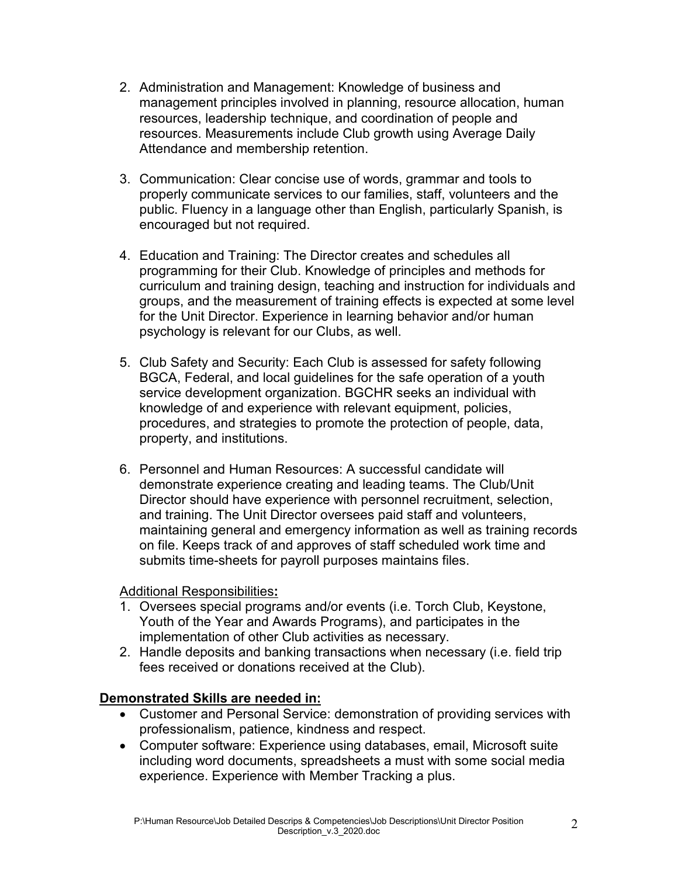- 2. Administration and Management: Knowledge of business and management principles involved in planning, resource allocation, human resources, leadership technique, and coordination of people and resources. Measurements include Club growth using Average Daily Attendance and membership retention.
- 3. Communication: Clear concise use of words, grammar and tools to properly communicate services to our families, staff, volunteers and the public. Fluency in a language other than English, particularly Spanish, is encouraged but not required.
- 4. Education and Training: The Director creates and schedules all programming for their Club. Knowledge of principles and methods for curriculum and training design, teaching and instruction for individuals and groups, and the measurement of training effects is expected at some level for the Unit Director. Experience in learning behavior and/or human psychology is relevant for our Clubs, as well.
- 5. Club Safety and Security: Each Club is assessed for safety following BGCA, Federal, and local guidelines for the safe operation of a youth service development organization. BGCHR seeks an individual with knowledge of and experience with relevant equipment, policies, procedures, and strategies to promote the protection of people, data, property, and institutions.
- 6. Personnel and Human Resources: A successful candidate will demonstrate experience creating and leading teams. The Club/Unit Director should have experience with personnel recruitment, selection, and training. The Unit Director oversees paid staff and volunteers, maintaining general and emergency information as well as training records on file. Keeps track of and approves of staff scheduled work time and submits time-sheets for payroll purposes maintains files.

Additional Responsibilities**:**

- 1. Oversees special programs and/or events (i.e. Torch Club, Keystone, Youth of the Year and Awards Programs), and participates in the implementation of other Club activities as necessary.
- 2. Handle deposits and banking transactions when necessary (i.e. field trip fees received or donations received at the Club).

## **Demonstrated Skills are needed in:**

- Customer and Personal Service: demonstration of providing services with professionalism, patience, kindness and respect.
- Computer software: Experience using databases, email, Microsoft suite including word documents, spreadsheets a must with some social media experience. Experience with Member Tracking a plus.